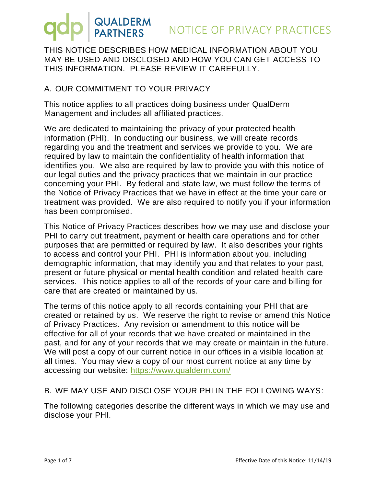THIS NOTICE DESCRIBES HOW MEDICAL INFORMATION ABOUT YOU MAY BE USED AND DISCLOSED AND HOW YOU CAN GET ACCESS TO THIS INFORMATION. PLEASE REVIEW IT CAREFULLY.

#### A. OUR COMMITMENT TO YOUR PRIVACY

This notice applies to all practices doing business under QualDerm Management and includes all affiliated practices.

We are dedicated to maintaining the privacy of your protected health information (PHI). In conducting our business, we will create records regarding you and the treatment and services we provide to you. We are required by law to maintain the confidentiality of health information that identifies you. We also are required by law to provide you with this notice of our legal duties and the privacy practices that we maintain in our practice concerning your PHI. By federal and state law, we must follow the terms of the Notice of Privacy Practices that we have in effect at the time your care or treatment was provided. We are also required to notify you if your information has been compromised.

This Notice of Privacy Practices describes how we may use and disclose your PHI to carry out treatment, payment or health care operations and for other purposes that are permitted or required by law. It also describes your rights to access and control your PHI. PHI is information about you, including demographic information, that may identify you and that relates to your past, present or future physical or mental health condition and related health care services. This notice applies to all of the records of your care and billing for care that are created or maintained by us.

The terms of this notice apply to all records containing your PHI that are created or retained by us. We reserve the right to revise or amend this Notice of Privacy Practices. Any revision or amendment to this notice will be effective for all of your records that we have created or maintained in the past, and for any of your records that we may create or maintain in the future. We will post a copy of our current notice in our offices in a visible location at all times. You may view a copy of our most current notice at any time by accessing our website:<https://www.qualderm.com/>

#### B. WE MAY USE AND DISCLOSE YOUR PHI IN THE FOLLOWING WAYS:

The following categories describe the different ways in which we may use and disclose your PHI.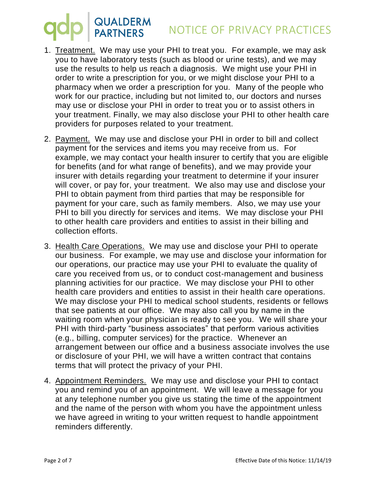# QUALDERM<br>
PARTNERS
NOTICE OF PRIVACY PRACTICES

- 1. Treatment. We may use your PHI to treat you. For example, we may ask you to have laboratory tests (such as blood or urine tests), and we may use the results to help us reach a diagnosis. We might use your PHI in order to write a prescription for you, or we might disclose your PHI to a pharmacy when we order a prescription for you. Many of the people who work for our practice, including but not limited to, our doctors and nurses may use or disclose your PHI in order to treat you or to assist others in your treatment. Finally, we may also disclose your PHI to other health care providers for purposes related to your treatment.
- 2. Payment. We may use and disclose your PHI in order to bill and collect payment for the services and items you may receive from us. For example, we may contact your health insurer to certify that you are eligible for benefits (and for what range of benefits), and we may provide your insurer with details regarding your treatment to determine if your insurer will cover, or pay for, your treatment. We also may use and disclose your PHI to obtain payment from third parties that may be responsible for payment for your care, such as family members. Also, we may use your PHI to bill you directly for services and items. We may disclose your PHI to other health care providers and entities to assist in their billing and collection efforts.
- 3. Health Care Operations. We may use and disclose your PHI to operate our business. For example, we may use and disclose your information for our operations, our practice may use your PHI to evaluate the quality of care you received from us, or to conduct cost-management and business planning activities for our practice. We may disclose your PHI to other health care providers and entities to assist in their health care operations. We may disclose your PHI to medical school students, residents or fellows that see patients at our office. We may also call you by name in the waiting room when your physician is ready to see you. We will share your PHI with third-party "business associates" that perform various activities (e.g., billing, computer services) for the practice. Whenever an arrangement between our office and a business associate involves the use or disclosure of your PHI, we will have a written contract that contains terms that will protect the privacy of your PHI.
- 4. Appointment Reminders. We may use and disclose your PHI to contact you and remind you of an appointment. We will leave a message for you at any telephone number you give us stating the time of the appointment and the name of the person with whom you have the appointment unless we have agreed in writing to your written request to handle appointment reminders differently.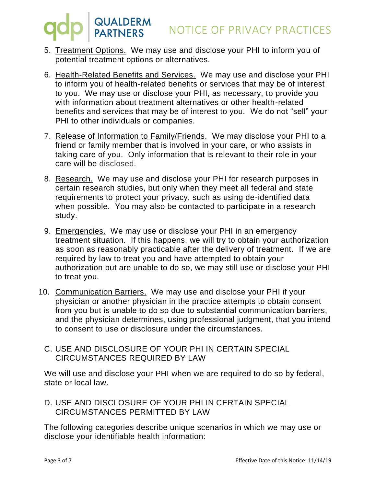- 5. Treatment Options. We may use and disclose your PHI to inform you of potential treatment options or alternatives.
- 6. Health-Related Benefits and Services. We may use and disclose your PHI to inform you of health-related benefits or services that may be of interest to you. We may use or disclose your PHI, as necessary, to provide you with information about treatment alternatives or other health-related benefits and services that may be of interest to you. We do not "sell" your PHI to other individuals or companies.
- 7. Release of Information to Family/Friends. We may disclose your PHI to a friend or family member that is involved in your care, or who assists in taking care of you. Only information that is relevant to their role in your care will be disclosed.
- 8. Research. We may use and disclose your PHI for research purposes in certain research studies, but only when they meet all federal and state requirements to protect your privacy, such as using de-identified data when possible. You may also be contacted to participate in a research study.
- 9. Emergencies. We may use or disclose your PHI in an emergency treatment situation. If this happens, we will try to obtain your authorization as soon as reasonably practicable after the delivery of treatment. If we are required by law to treat you and have attempted to obtain your authorization but are unable to do so, we may still use or disclose your PHI to treat you.
- 10. Communication Barriers. We may use and disclose your PHI if your physician or another physician in the practice attempts to obtain consent from you but is unable to do so due to substantial communication barriers, and the physician determines, using professional judgment, that you intend to consent to use or disclosure under the circumstances.
	- C. USE AND DISCLOSURE OF YOUR PHI IN CERTAIN SPECIAL CIRCUMSTANCES REQUIRED BY LAW

We will use and disclose your PHI when we are required to do so by federal, state or local law.

D. USE AND DISCLOSURE OF YOUR PHI IN CERTAIN SPECIAL CIRCUMSTANCES PERMITTED BY LAW

The following categories describe unique scenarios in which we may use or disclose your identifiable health information: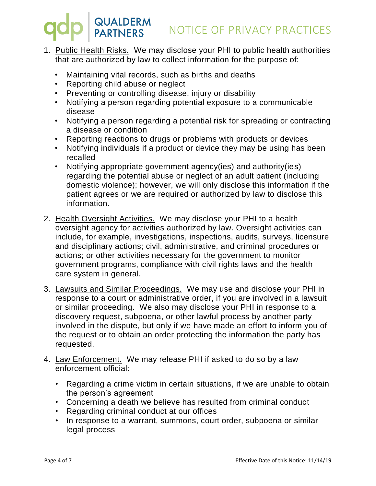- 1. Public Health Risks. We may disclose your PHI to public health authorities that are authorized by law to collect information for the purpose of:
	- Maintaining vital records, such as births and deaths
	- Reporting child abuse or neglect
	- Preventing or controlling disease, injury or disability
	- Notifying a person regarding potential exposure to a communicable disease
	- Notifying a person regarding a potential risk for spreading or contracting a disease or condition
	- Reporting reactions to drugs or problems with products or devices
	- Notifying individuals if a product or device they may be using has been recalled
	- Notifying appropriate government agency(ies) and authority(ies) regarding the potential abuse or neglect of an adult patient (including domestic violence); however, we will only disclose this information if the patient agrees or we are required or authorized by law to disclose this information.
- 2. Health Oversight Activities. We may disclose your PHI to a health oversight agency for activities authorized by law. Oversight activities can include, for example, investigations, inspections, audits, surveys, licensure and disciplinary actions; civil, administrative, and criminal procedures or actions; or other activities necessary for the government to monitor government programs, compliance with civil rights laws and the health care system in general.
- 3. Lawsuits and Similar Proceedings. We may use and disclose your PHI in response to a court or administrative order, if you are involved in a lawsuit or similar proceeding. We also may disclose your PHI in response to a discovery request, subpoena, or other lawful process by another party involved in the dispute, but only if we have made an effort to inform you of the request or to obtain an order protecting the information the party has requested.
- 4. Law Enforcement. We may release PHI if asked to do so by a law enforcement official:
	- Regarding a crime victim in certain situations, if we are unable to obtain the person's agreement
	- Concerning a death we believe has resulted from criminal conduct
	- Regarding criminal conduct at our offices
	- In response to a warrant, summons, court order, subpoena or similar legal process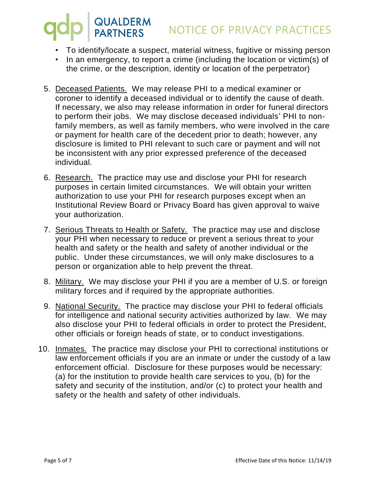### QUALDERM<br>PARTNERS NOTICE OF PRIVACY PRACTICES

- To identify/locate a suspect, material witness, fugitive or missing person
- In an emergency, to report a crime (including the location or victim(s) of the crime, or the description, identity or location of the perpetrator)
- 5. Deceased Patients. We may release PHI to a medical examiner or coroner to identify a deceased individual or to identify the cause of death. If necessary, we also may release information in order for funeral directors to perform their jobs. We may disclose deceased individuals' PHI to nonfamily members, as well as family members, who were involved in the care or payment for health care of the decedent prior to death; however, any disclosure is limited to PHI relevant to such care or payment and will not be inconsistent with any prior expressed preference of the deceased individual.
- 6. Research. The practice may use and disclose your PHI for research purposes in certain limited circumstances. We will obtain your written authorization to use your PHI for research purposes except when an Institutional Review Board or Privacy Board has given approval to waive your authorization.
- 7. Serious Threats to Health or Safety. The practice may use and disclose your PHI when necessary to reduce or prevent a serious threat to your health and safety or the health and safety of another individual or the public. Under these circumstances, we will only make disclosures to a person or organization able to help prevent the threat.
- 8. Military. We may disclose your PHI if you are a member of U.S. or foreign military forces and if required by the appropriate authorities.
- 9. National Security. The practice may disclose your PHI to federal officials for intelligence and national security activities authorized by law. We may also disclose your PHI to federal officials in order to protect the President, other officials or foreign heads of state, or to conduct investigations.
- 10. Inmates. The practice may disclose your PHI to correctional institutions or law enforcement officials if you are an inmate or under the custody of a law enforcement official. Disclosure for these purposes would be necessary: (a) for the institution to provide health care services to you, (b) for the safety and security of the institution, and/or (c) to protect your health and safety or the health and safety of other individuals.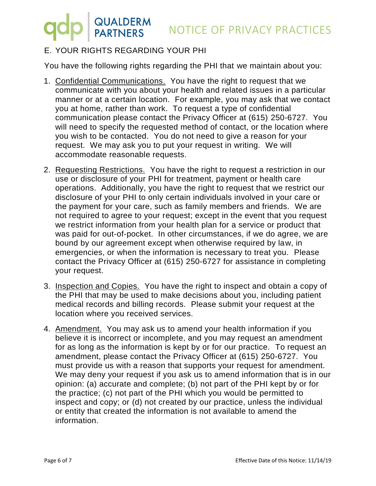### NOTICE OF PRIVACY PRACTICES

### E. YOUR RIGHTS REGARDING YOUR PHI

QUALDERM<br>PARTNERS

You have the following rights regarding the PHI that we maintain about you:

- 1. Confidential Communications. You have the right to request that we communicate with you about your health and related issues in a particular manner or at a certain location. For example, you may ask that we contact you at home, rather than work. To request a type of confidential communication please contact the Privacy Officer at (615) 250-6727. You will need to specify the requested method of contact, or the location where you wish to be contacted. You do not need to give a reason for your request. We may ask you to put your request in writing. We will accommodate reasonable requests.
- 2. Requesting Restrictions. You have the right to request a restriction in our use or disclosure of your PHI for treatment, payment or health care operations. Additionally, you have the right to request that we restrict our disclosure of your PHI to only certain individuals involved in your care or the payment for your care, such as family members and friends. We are not required to agree to your request; except in the event that you request we restrict information from your health plan for a service or product that was paid for out-of-pocket. In other circumstances, if we do agree, we are bound by our agreement except when otherwise required by law, in emergencies, or when the information is necessary to treat you. Please contact the Privacy Officer at (615) 250-6727 for assistance in completing your request.
- 3. Inspection and Copies. You have the right to inspect and obtain a copy of the PHI that may be used to make decisions about you, including patient medical records and billing records. Please submit your request at the location where you received services.
- 4. Amendment. You may ask us to amend your health information if you believe it is incorrect or incomplete, and you may request an amendment for as long as the information is kept by or for our practice. To request an amendment, please contact the Privacy Officer at (615) 250-6727. You must provide us with a reason that supports your request for amendment. We may deny your request if you ask us to amend information that is in our opinion: (a) accurate and complete; (b) not part of the PHI kept by or for the practice; (c) not part of the PHI which you would be permitted to inspect and copy; or (d) not created by our practice, unless the individual or entity that created the information is not available to amend the information.